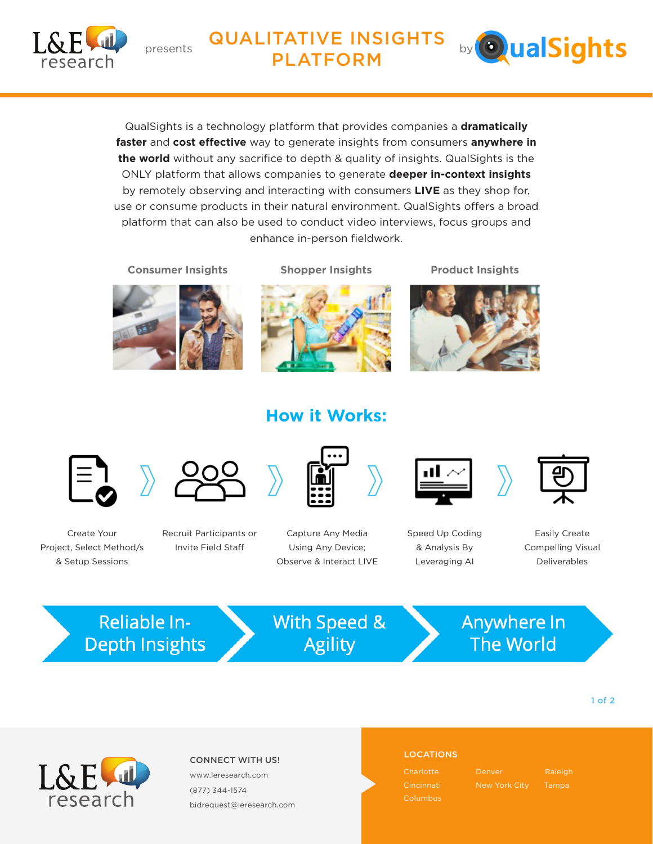

# **DI ATEO DALL ANSIGHTS** by **Outlinghts** PLATFORM



QualSights is a technology platform that provides companies a **dramatically faster** and **cost effective** way to generate insights from consumers **anywhere in the world** without any sacrifice to depth & quality of insights. QualSights is the ONLY platform that allows companies to generate **deeper in-context insights** by remotely observing and interacting with consumers **LIVE** as they shop for, use or consume products in their natural environment. QualSights offers a broad platform that can also be used to conduct video interviews, focus groups and enhance in-person fieldwork.

**Consumer Insights Shopper Insights**

**Product Insights**



# **How it Works:**





Create Your Project, Select Method/s & Setup Sessions

Recruit Participants or Invite Field Staff



Capture Any Media Using Any Device; Observe & Interact LIVE



Speed Up Coding & Analysis By Leveraging AI



Easily Create Compelling Visual Deliverables

**Reliable In-Depth Insights** 

With Speed & **Agility** 

Anywhere In **The World** 

1 of 2



## LOCATIONS CONNECT WITH US!

www.leresearch.com (877) 344-1574 bidrequest@leresearch.com

**Charlotte** 

Denver